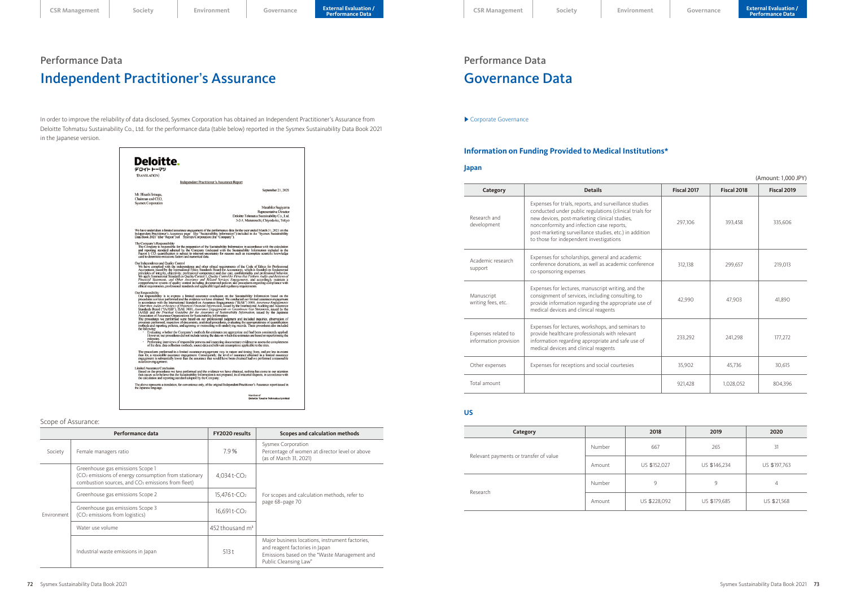# Performance Data Governance Data

▶ [Corporate Governance](https://www.sysmex.co.jp/en/corporate/governance.html)

# **Information on Funding Provided to Medical Institutions\***

#### **Japan**

|                                              |                                                                                                                                                                                                                                                                                                                      |             |             | (Amount: 1,000 JPY) |
|----------------------------------------------|----------------------------------------------------------------------------------------------------------------------------------------------------------------------------------------------------------------------------------------------------------------------------------------------------------------------|-------------|-------------|---------------------|
| Category                                     | <b>Details</b>                                                                                                                                                                                                                                                                                                       | Fiscal 2017 | Fiscal 2018 | Fiscal 2019         |
| Research and<br>development                  | Expenses for trials, reports, and surveillance studies<br>conducted under public regulations (clinical trials for<br>new devices, post-marketing clinical studies,<br>nonconformity and infection case reports,<br>post-marketing surveillance studies, etc.) in addition<br>to those for independent investigations | 297,106     | 393,458     | 335,606             |
| Academic research<br>support                 | Expenses for scholarships, general and academic<br>conference donations, as well as academic conference<br>co-sponsoring expenses                                                                                                                                                                                    | 312,138     | 299,657     | 219,013             |
| Manuscript<br>writing fees, etc.             | Expenses for lectures, manuscript writing, and the<br>consignment of services, including consulting, to<br>provide information regarding the appropriate use of<br>medical devices and clinical reagents                                                                                                             | 42,990      | 47,903      | 41,890              |
| Expenses related to<br>information provision | Expenses for lectures, workshops, and seminars to<br>provide healthcare professionals with relevant<br>information regarding appropriate and safe use of<br>medical devices and clinical reagents                                                                                                                    | 233,292     | 241,298     | 177,272             |
| Other expenses                               | Expenses for receptions and social courtesies                                                                                                                                                                                                                                                                        | 35,902      | 45,736      | 30,615              |
| Total amount                                 |                                                                                                                                                                                                                                                                                                                      | 921,428     | 1,028,052   | 804,396             |

### **US**

| Category                               |        | 2018         | 2019         | 2020         |
|----------------------------------------|--------|--------------|--------------|--------------|
| Relevant payments or transfer of value | Number | 667          | 265          | 31           |
|                                        | Amount | US \$152,027 | US \$146,234 | US \$197,763 |
| Research                               | Number | 9            | 9            | 4            |
|                                        | Amount | US \$228,092 | US \$179,685 | US \$21,568  |